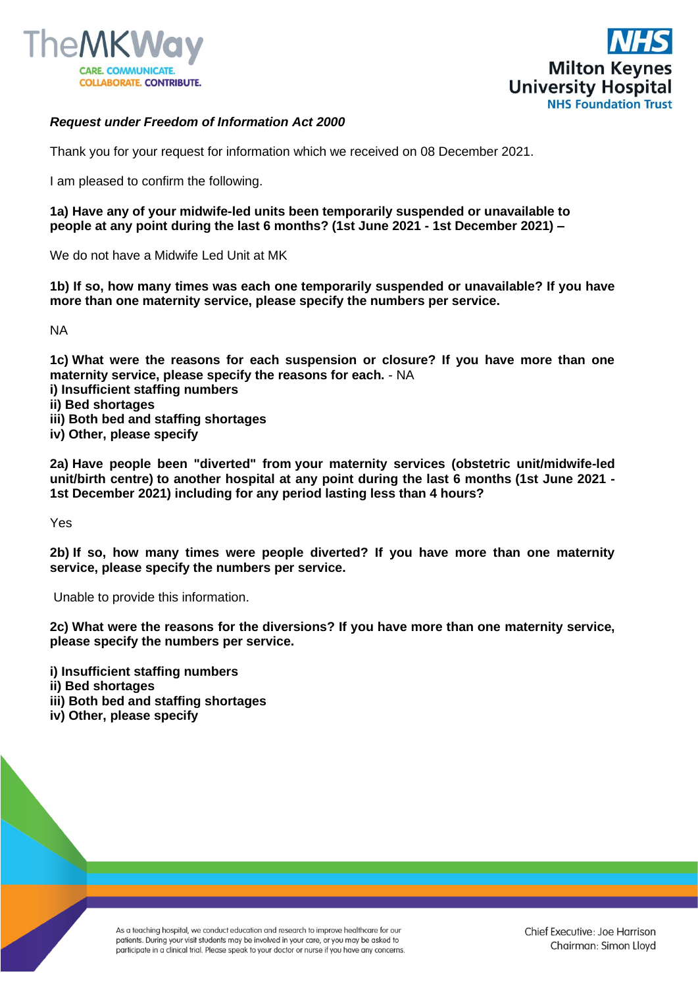



## *Request under Freedom of Information Act 2000*

Thank you for your request for information which we received on 08 December 2021.

I am pleased to confirm the following.

**1a) Have any of your midwife-led units been temporarily suspended or unavailable to people at any point during the last 6 months? (1st June 2021 - 1st December 2021) –**

We do not have a Midwife Led Unit at MK

**1b) If so, how many times was each one temporarily suspended or unavailable? If you have more than one maternity service, please specify the numbers per service.**

NA

**1c) What were the reasons for each suspension or closure? If you have more than one maternity service, please specify the reasons for each.** - NA

- **i) Insufficient staffing numbers**
- **ii) Bed shortages**
- **iii) Both bed and staffing shortages**
- **iv) Other, please specify**

**2a) Have people been "diverted" from your maternity services (obstetric unit/midwife-led unit/birth centre) to another hospital at any point during the last 6 months (1st June 2021 - 1st December 2021) including for any period lasting less than 4 hours?** 

Yes

**2b) If so, how many times were people diverted? If you have more than one maternity service, please specify the numbers per service.** 

Unable to provide this information.

**2c) What were the reasons for the diversions? If you have more than one maternity service, please specify the numbers per service.**

**i) Insufficient staffing numbers**

- **ii) Bed shortages**
- **iii) Both bed and staffing shortages**

**iv) Other, please specify**

As a teaching hospital, we conduct education and research to improve healthcare for our patients. During your visit students may be involved in your care, or you may be asked to participate in a clinical trial. Please speak to your doctor or nurse if you have any concerns.